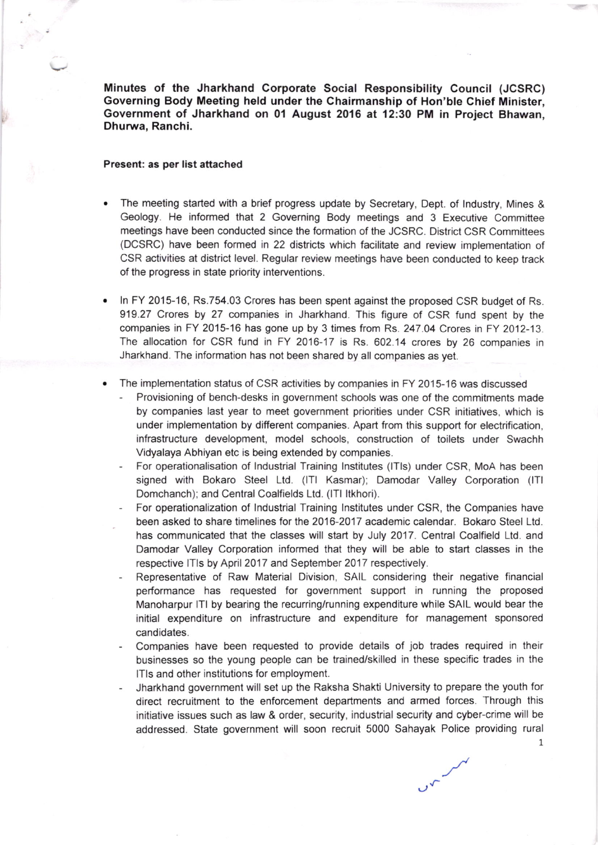Minutes of the Jharkhand Corporate Social Responsibility Council (JCSRC) Governing Body Meeting held under the Chairmanship of Hon'ble Chief Minister, Government of Jharkhand on 01 August 2016 at 12:30 PM in Project Bhawan, Dhurwa, Ranchi.

## Present: as per list attached

- The meeting started with a brief progress update by Secretary, Dept. of lndustry, Mines & Geology. He informed that 2 Governing Body meetings and 3 Executive Committee meetings have been conducted since the formation of the JCSRC. District CSR Committees (DCSRC) have been formed in 22 districts which facilitate and review implementation of CSR activities at district level. Regular review meetings have been conducted to keep track of the progress in state priority interventions.
- ln FY 2015-16, Rs.754.03 Crores has been spent against the proposed CSR budget of Rs. 919.27 Crores by 27 companies in Jharkhand. This figure of CSR fund spent by the companies in FY 2015-16 has gone up by 3 times from Rs. 247.04 Crores in FY 2012-13. The allocation for CSR fund in FY 2016-17 is Rs. 602.14 crores by 26 companies in Jharkhand. The information has not been shared by all companies as yel.
- The implementation status of CSR activities by companies in FY 2015-16 was discussed
	- Provisioning of bench-desks in government schools was one of the commitments made by companies last year to meel government priorities under CSR initiatives, which is under implementation by different companies. Apart from this support for electrification, infrastructure development, model schools, construction of toilets under Swachh Vidyalaya Abhiyan etc is being extended by companies.
	- For operationalisation of Industrial Training Institutes (ITIs) under CSR, MoA has been signed with Bokaro Steel Ltd. (ITI Kasmar); Damodar Valley Corporation (ITI Domchanch); and Central Coalfields Ltd. (ITI Itkhori).
	- For operationalization of Industrial Training Institutes under CSR, the Companies have been asked to share timelines for the 2016-2017 academic calendar. Bokaro Steel Ltd. has communicated that the classes will start by July 2017. Central Coalfield Ltd. and Damodar Valley Corporation informed that they will be able to start classes in the respective lTls by April 2017 and September 2017 respectively.
	- Representative of Raw Material Division, SAIL considering their negative financial performance has requested for government support in running the proposed Manoharpur lTl by bearing the recurring/running expenditure while SAIL would bear the initial expenditure on infrastructure and expenditure for management sponsored candidates.
	- Companies have been requested to provide details of job trades required in their businesses so the young people can be trainediskilled in these specific trades in the lTls and other institutions for employment.
	- Jharkhand government will set up the Raksha Shakti University to prepare the youth for direct recruitment to the enforcement departments and armed forces. Through this initiative issues such as law & order, security, industrial security and cyber-crime will be addressed. State government will soon recruit 5000 Sahayak Police providing rural

سر سمن

1